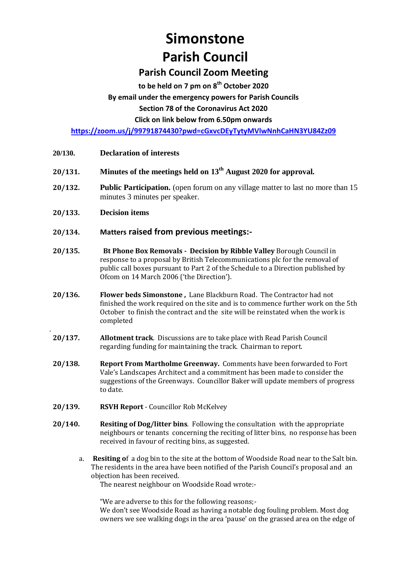# **Simonstone Parish Council**

## **Parish Council Zoom Meeting**

**to be held on 7 pm on 8 th October 2020**

## **By email under the emergency powers for Parish Councils**

**Section 78 of the Coronavirus Act 2020** 

**Click on link below from 6.50pm onwards** 

**<https://zoom.us/j/99791874430?pwd=cGxvcDEyTytyMVlwNnhCaHN3YU84Zz09>**

- **20/130. Declaration of interests**
- **20/131. Minutes of the meetings held on 13th August 2020 for approval.**
- **20/132. Public Participation.** (open forum on any village matter to last no more than 15 minutes 3 minutes per speaker.
- **20/133. Decision items**

.

- **20/134. Matters raised from previous meetings:-**
- **20/135. Bt Phone Box Removals - Decision by Ribble Valley** Borough Council in response to a proposal by British Telecommunications plc for the removal of public call boxes pursuant to Part 2 of the Schedule to a Direction published by Ofcom on 14 March 2006 ('the Direction').
- **20/136. Flower beds Simonstone ,** Lane Blackburn Road. The Contractor had not finished the work required on the site and is to commence further work on the 5th October to finish the contract and the site will be reinstated when the work is completed
- **20/137. Allotment track**. Discussions are to take place with Read Parish Council regarding funding for maintaining the track. Chairman to report.
- **20/138. Report From Martholme Greenway.** Comments have been forwarded to Fort Vale's Landscapes Architect and a commitment has been made to consider the suggestions of the Greenways. Councillor Baker will update members of progress to date.
- **20/139. RSVH Report** Councillor Rob McKelvey
- **20/140. Resiting of Dog/litter bins**. Following the consultation with the appropriate neighbours or tenants concerning the reciting of litter bins, no response has been received in favour of reciting bins, as suggested.
	- a. **Resiting o**f a dog bin to the site at the bottom of Woodside Road near to the Salt bin. The residents in the area have been notified of the Parish Council's proposal and an objection has been received.

The nearest neighbour on Woodside Road wrote:-

"We are adverse to this for the following reasons;-

We don't see Woodside Road as having a notable dog fouling problem. Most dog owners we see walking dogs in the area 'pause' on the grassed area on the edge of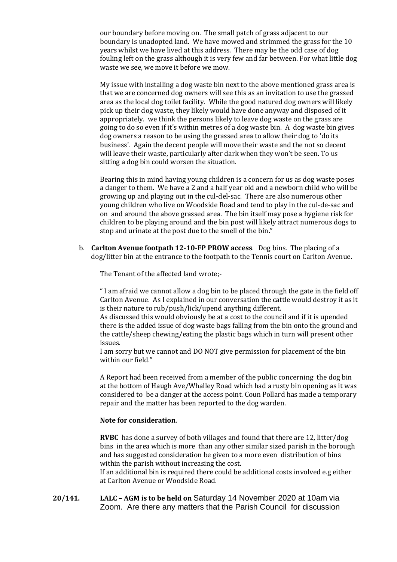our boundary before moving on. The small patch of grass adjacent to our boundary is unadopted land. We have mowed and strimmed the grass for the 10 years whilst we have lived at this address. There may be the odd case of dog fouling left on the grass although it is very few and far between. For what little dog waste we see, we move it before we mow.

My issue with installing a dog waste bin next to the above mentioned grass area is that we are concerned dog owners will see this as an invitation to use the grassed area as the local dog toilet facility. While the good natured dog owners will likely pick up their dog waste, they likely would have done anyway and disposed of it appropriately. we think the persons likely to leave dog waste on the grass are going to do so even if it's within metres of a dog waste bin. A dog waste bin gives dog owners a reason to be using the grassed area to allow their dog to 'do its business'. Again the decent people will move their waste and the not so decent will leave their waste, particularly after dark when they won't be seen. To us sitting a dog bin could worsen the situation.

Bearing this in mind having young children is a concern for us as dog waste poses a danger to them. We have a 2 and a half year old and a newborn child who will be growing up and playing out in the cul-del-sac. There are also numerous other young children who live on Woodside Road and tend to play in the cul-de-sac and on and around the above grassed area. The bin itself may pose a hygiene risk for children to be playing around and the bin post will likely attract numerous dogs to stop and urinate at the post due to the smell of the bin."

b. **Carlton Avenue footpath 12-10-FP PROW access**. Dog bins. The placing of a dog/litter bin at the entrance to the footpath to the Tennis court on Carlton Avenue.

The Tenant of the affected land wrote;-

" I am afraid we cannot allow a dog bin to be placed through the gate in the field off Carlton Avenue. As I explained in our conversation the cattle would destroy it as it is their nature to rub/push/lick/upend anything different.

As discussed this would obviously be at a cost to the council and if it is upended there is the added issue of dog waste bags falling from the bin onto the ground and the cattle/sheep chewing/eating the plastic bags which in turn will present other issues.

I am sorry but we cannot and DO NOT give permission for placement of the bin within our field."

A Report had been received from a member of the public concerning the dog bin at the bottom of Haugh Ave/Whalley Road which had a rusty bin opening as it was considered to be a danger at the access point. Coun Pollard has made a temporary repair and the matter has been reported to the dog warden.

#### **Note for consideration**.

**RVBC** has done a survey of both villages and found that there are 12, litter/dog bins in the area which is more than any other similar sized parish in the borough and has suggested consideration be given to a more even distribution of bins within the parish without increasing the cost.

If an additional bin is required there could be additional costs involved e.g either at Carlton Avenue or Woodside Road.

**20/141. LALC – AGM is to be held on** Saturday 14 November 2020 at 10am via Zoom. Are there any matters that the Parish Council for discussion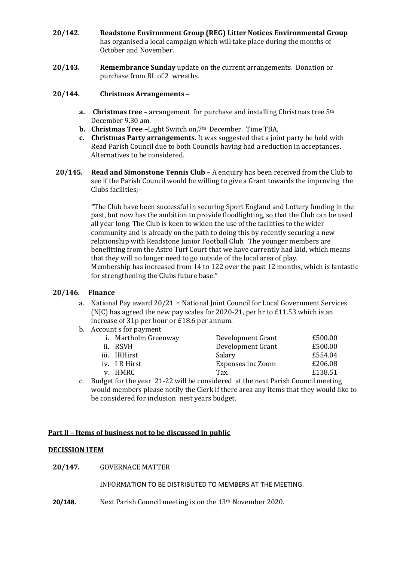- **20/142. Readstone Environment Group (REG) Litter Notices Environmental Group**  has organised a local campaign which will take place during the months of October and November.
- **20/143. Remembrance Sunday** update on the current arrangements. Donation or purchase from BL of 2 wreaths.

#### **20/144. Christmas Arrangements –**

- **a. Christmas tree –** arrangement for purchase and installing Christmas tree 5th December 9.30 am.
- **b. Christmas Tree –**Light Switch on,7th December. Time TBA.
- **c. Christmas Party arrangements.** It was suggested that a joint party be held with Read Parish Council due to both Councils having had a reduction in acceptances. Alternatives to be considered.
- **20/145. Read and Simonstone Tennis Club**  A enquiry has been received from the Club to see if the Parish Council would be willing to give a Grant towards the improving the Clubs facilities;-

**"**The Club have been successful in securing Sport England and Lottery funding in the past, but now has the ambition to provide floodlighting, so that the Club can be used all year long. The Club is keen to widen the use of the facilities to the wider community and is already on the path to doing this by recently securing a new relationship with Readstone Junior Football Club. The younger members are benefitting from the Astro Turf Court that we have currently had laid, which means that they will no longer need to go outside of the local area of play. Membership has increased from 14 to 122 over the past 12 months, which is fantastic for strengthening the Clubs future base."

#### **20/146. Finance**

- a. National Pay award 20/21 National Joint Council for Local Government Services (NJC) has agreed the new pay scales for 2020-21, per hr to £11.53 which is an increase of 31p per hour or £18.6 per annum.
- b. Account s for payment

| i. Martholm Greenway | Development Grant        | £500.00 |
|----------------------|--------------------------|---------|
| ii. RSVH             | Development Grant        | £500.00 |
| iii. IRHirst         | Salary                   | £554.04 |
| iv. I R Hirst        | <b>Expenses inc Zoom</b> | £206.08 |
| v. HMRC              | Tax.                     | £138.51 |

c. Budget for the year 21-22 will be considered at the next Parish Council meeting would members please notify the Clerk if there area any items that they would like to be considered for inclusion nest years budget.

#### **Part ll – Items of business not to be discussed in public**

#### **DECISSION ITEM**

**20/147.** GOVERNACE MATTER

INFORMATION TO BE DISTRIBUTED TO MEMBERS AT THE MEETING.

**20/148.** Next Parish Council meeting is on the 13<sup>th</sup> November 2020.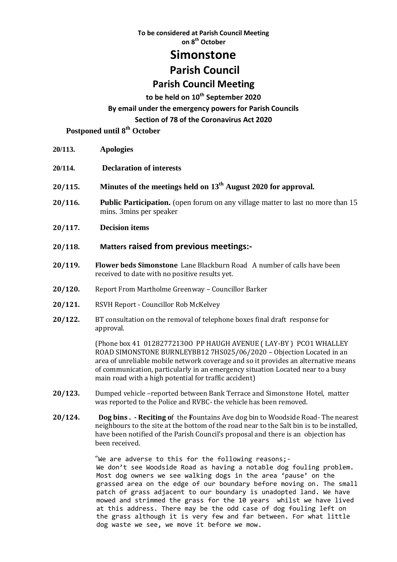**To be considered at Parish Council Meeting on 8 th October**

## **Simonstone**

## **Parish Council**

## **Parish Council Meeting**

### **to be held on 10th September 2020 By email under the emergency powers for Parish Councils Section of 78 of the Coronavirus Act 2020**

 **Postponed until 8 th October**

- **20/113. Apologies**
- **20/114. Declaration of interests**
- **20/115. Minutes of the meetings held on 13th August 2020 for approval.**
- **20/116. Public Participation.** (open forum on any village matter to last no more than 15 mins. 3mins per speaker
- **20/117. Decision items**
- **20/118. Matters raised from previous meetings:-**
- **20/119. Flower beds Simonstone** Lane Blackburn Road A number of calls have been received to date with no positive results yet.
- **20/120.** Report From Martholme Greenway Councillor Barker
- **20/121.** RSVH Report Councillor Rob McKelvey
- **20/122.** BT consultation on the removal of telephone boxes final draft response for approval.

(Phone box 41 01282772130O PP HAUGH AVENUE ( LAY-BY ) PCO1 WHALLEY ROAD SIMONSTONE BURNLEYBB12 7HS025/06/2020 – Objection Located in an area of unreliable mobile network coverage and so it provides an alternative means of communication, particularly in an emergency situation Located near to a busy main road with a high potential for traffic accident)

- **20/123.** Dumped vehicle –reported between Bank Terrace and Simonstone Hotel, matter was reported to the Police and RVBC- the vehicle has been removed.
- **20/124. Dog bins . - Reciting o**f the **F**ountains Ave dog bin to Woodside Road- The nearest neighbours to the site at the bottom of the road near to the Salt bin is to be installed, have been notified of the Parish Council's proposal and there is an objection has been received.

"We are adverse to this for the following reasons;- We don't see Woodside Road as having a notable dog fouling problem. Most dog owners we see walking dogs in the area 'pause' on the grassed area on the edge of our boundary before moving on. The small patch of grass adjacent to our boundary is unadopted land. We have mowed and strimmed the grass for the 10 years whilst we have lived at this address. There may be the odd case of dog fouling left on the grass although it is very few and far between. For what little dog waste we see, we move it before we mow.